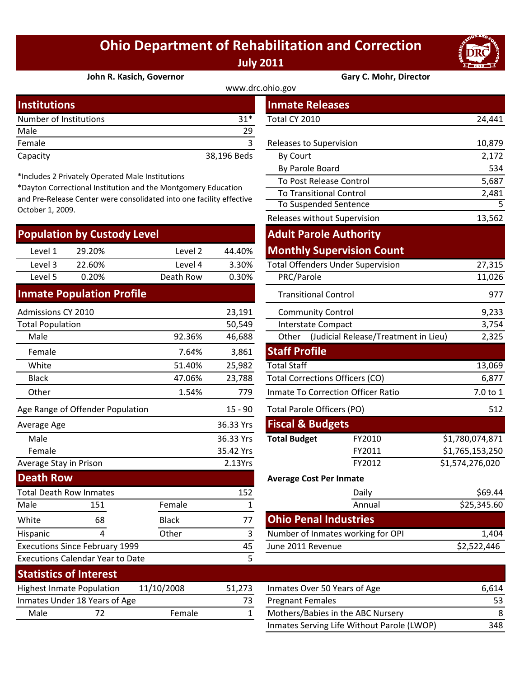## **Ohio Department of Rehabilitation and Correction July 2011**



**John R. Kasich, Governor Gary C. Mohr, Director**

| www.drc.ohio.gov       |             |                         |        |  |  |  |
|------------------------|-------------|-------------------------|--------|--|--|--|
| <b>Institutions</b>    |             | <b>Inmate Releases</b>  |        |  |  |  |
| Number of Institutions | $31*$       | Total CY 2010           | 24,441 |  |  |  |
| Male                   | 29          |                         |        |  |  |  |
| Female                 |             | Releases to Supervision | 10,879 |  |  |  |
| Capacity               | 38,196 Beds | By Court                | 2,172  |  |  |  |

\*Includes 2 Privately Operated Male Institutions

\*Dayton Correctional Institution and the Montgomery Education and Pre‐Release Center were consolidated into one facility effective October 1, 2009.

| <b>Population by Custody Level</b> |        |           |        | <b>Adult Parole Authority</b>            |        |  |
|------------------------------------|--------|-----------|--------|------------------------------------------|--------|--|
| Level 1                            | 29.20% | Level 2   | 44.40% | <b>Monthly Supervision Count</b>         |        |  |
| Level 3                            | 22.60% | Level 4   | 3.30%  | <b>Total Offenders Under Supervision</b> | 27,315 |  |
| Level 5                            | 0.20%  | Death Row | 0.30%  | PRC/Parole                               | 11,026 |  |
|                                    |        |           |        |                                          |        |  |

## **Inmate Population Profile**

Executions Since February 1999

Executions Calendar Year to Date

| <b>Admissions CY 2010</b>        |     |              | 23,191                     | <b>Community Control</b>                  |                                      |                 |
|----------------------------------|-----|--------------|----------------------------|-------------------------------------------|--------------------------------------|-----------------|
| <b>Total Population</b>          |     |              | 50,549                     |                                           | Interstate Compact                   | 3,754           |
| Male                             |     | 92.36%       | 46,688                     | Other                                     | (Judicial Release/Treatment in Lieu) | 2,325           |
| Female                           |     | 7.64%        | 3,861                      | <b>Staff Profile</b>                      |                                      |                 |
| White                            |     | 51.40%       | 25,982                     | <b>Total Staff</b>                        |                                      | 13,069          |
| Black                            |     | 47.06%       | 23,788                     |                                           | Total Corrections Officers (CO)      | 6,877           |
| Other                            |     | 1.54%        | 779                        | <b>Inmate To Correction Officer Ratio</b> |                                      | 7.0 to 1        |
| Age Range of Offender Population |     | 15 - 90      | Total Parole Officers (PO) |                                           | 512                                  |                 |
| Average Age                      |     |              | 36.33 Yrs                  | <b>Fiscal &amp; Budgets</b>               |                                      |                 |
| Male                             |     |              | 36.33 Yrs                  | <b>Total Budget</b>                       | FY2010                               | \$1,780,074,871 |
| Female                           |     | 35.42 Yrs    |                            | FY2011                                    | \$1,765,153,250                      |                 |
| Average Stay in Prison           |     | 2.13Yrs      |                            | FY2012                                    | \$1,574,276,020                      |                 |
| <b>Death Row</b>                 |     |              |                            |                                           | <b>Average Cost Per Inmate</b>       |                 |
| <b>Total Death Row Inmates</b>   |     |              | 152                        |                                           | Daily                                | \$69.44         |
| Male                             | 151 | Female       |                            |                                           | Annual                               | \$25,345.60     |
| White                            | 68  | <b>Black</b> | 77                         |                                           | <b>Ohio Penal Industries</b>         |                 |

|                                |           | <b>Inmate Releases</b>                   |                                               |                 |  |
|--------------------------------|-----------|------------------------------------------|-----------------------------------------------|-----------------|--|
| $31*$<br>Total CY 2010         |           |                                          |                                               | 24,441          |  |
|                                | 29        |                                          |                                               |                 |  |
|                                | 3         | Releases to Supervision                  |                                               | 10,879          |  |
| 38,196 Beds<br><b>By Court</b> |           |                                          |                                               | 2,172           |  |
| วทร                            |           | By Parole Board                          | 534                                           |                 |  |
| ntgomery Education             |           | To Post Release Control                  | 5,687<br>2,481                                |                 |  |
| to one facility effective      |           |                                          | <b>To Transitional Control</b>                |                 |  |
|                                |           | <b>To Suspended Sentence</b>             | 5                                             |                 |  |
|                                |           | Releases without Supervision             |                                               | 13,562          |  |
|                                |           | <b>Adult Parole Authority</b>            |                                               |                 |  |
| Level 2                        | 44.40%    |                                          | <b>Monthly Supervision Count</b>              |                 |  |
| Level 4                        | 3.30%     | <b>Total Offenders Under Supervision</b> |                                               | 27,315          |  |
| th Row                         | 0.30%     | PRC/Parole                               |                                               | 11,026          |  |
|                                |           | <b>Transitional Control</b>              |                                               | 977             |  |
|                                | 23,191    | <b>Community Control</b>                 | 9,233                                         |                 |  |
|                                | 50,549    | <b>Interstate Compact</b>                |                                               | 3,754           |  |
| 92.36%                         | 46,688    | Other                                    | (Judicial Release/Treatment in Lieu)<br>2,325 |                 |  |
| 7.64%                          | 3,861     | <b>Staff Profile</b>                     |                                               |                 |  |
| 51.40%                         | 25,982    | <b>Total Staff</b>                       |                                               | 13,069          |  |
| 47.06%                         | 23,788    | <b>Total Corrections Officers (CO)</b>   | 6,877                                         |                 |  |
| 1.54%                          | 779       |                                          | <b>Inmate To Correction Officer Ratio</b>     |                 |  |
|                                | $15 - 90$ | Total Parole Officers (PO)               |                                               | 512             |  |
|                                | 36.33 Yrs | <b>Fiscal &amp; Budgets</b>              |                                               |                 |  |
|                                | 36.33 Yrs | <b>Total Budget</b>                      | FY2010                                        | \$1,780,074,871 |  |
|                                | 35.42 Yrs |                                          | FY2011                                        | \$1,765,153,250 |  |
|                                | 2.13Yrs   |                                          | FY2012                                        | \$1,574,276,020 |  |
|                                |           | <b>Average Cost Per Inmate</b>           |                                               |                 |  |
|                                | 152       |                                          | Daily                                         | \$69.44         |  |
| ale                            | 1         |                                          | Annual                                        | \$25,345.60     |  |
| :k                             | 77        | <b>Ohio Penal Industries</b>             |                                               |                 |  |
| er                             | 3         |                                          | Number of Inmates working for OPI             | 1,404           |  |
|                                | 45        | June 2011 Revenue                        |                                               | \$2,522,446     |  |
|                                | 5         |                                          |                                               |                 |  |

| <b>Statistics of Interest</b> |                                  |            |        |                              |
|-------------------------------|----------------------------------|------------|--------|------------------------------|
|                               | <b>Highest Inmate Population</b> | 11/10/2008 | 51.273 | Inmates Over 50 Years of Age |
|                               | Inmates Under 18 Years of Age    |            | 73     | <b>Pregnant Females</b>      |
| Male                          |                                  | Female     |        | Mothers/Babies in the ABC No |
|                               |                                  |            |        |                              |

Hispanic 4 Other 3

| Sidusuls UI IIItelest                          |                               |               |                              |                                            |     |
|------------------------------------------------|-------------------------------|---------------|------------------------------|--------------------------------------------|-----|
| 11/10/2008<br><b>Highest Inmate Population</b> |                               | 51.273        | Inmates Over 50 Years of Age | 6.614                                      |     |
|                                                | Inmates Under 18 Years of Age |               |                              | <b>Pregnant Females</b>                    | 53  |
| Male                                           |                               | <b>Female</b> |                              | Mothers/Babies in the ABC Nursery          | 8   |
|                                                |                               |               |                              | Inmates Serving Life Without Parole (LWOP) | 348 |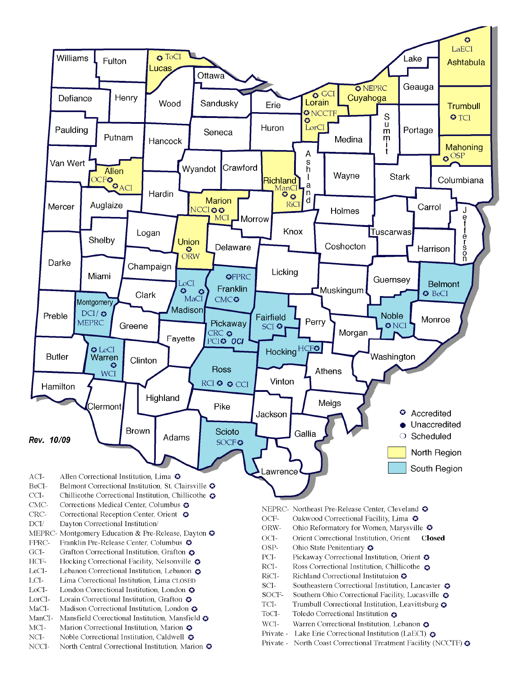